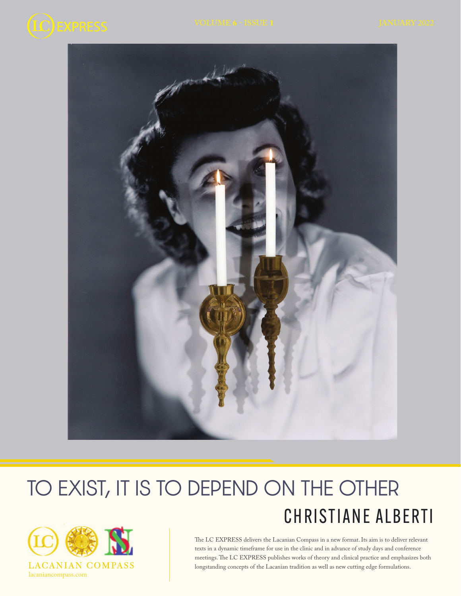



# CHRISTIANE ALBERTI TO EXIST, IT IS TO DEPEND ON THE OTHER



The LC EXPRESS delivers the Lacanian Compass in a new format. Its aim is to deliver relevant texts in a dynamic timeframe for use in the clinic and in advance of study days and conference meetings. The LC EXPRESS publishes works of theory and clinical practice and emphasizes both longstanding concepts of the Lacanian tradition as well as new cutting edge formulations.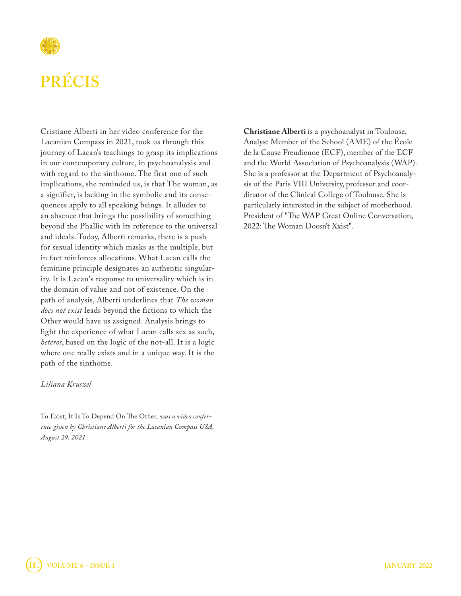

## **PRÉCIS**

Cristiane Alberti in her video conference for the Lacanian Compass in 2021, took us through this journey of Lacan's teachings to grasp its implications in our contemporary culture, in psychoanalysis and with regard to the sinthome. The first one of such implications, she reminded us, is that The woman, as a signifier, is lacking in the symbolic and its consequences apply to all speaking beings. It alludes to an absence that brings the possibility of something beyond the Phallic with its reference to the universal and ideals. Today, Alberti remarks, there is a push for sexual identity which masks as the multiple, but in fact reinforces allocations. What Lacan calls the feminine principle designates an authentic singularity. It is Lacan's response to universality which is in the domain of value and not of existence. On the path of analysis, Alberti underlines that *The woman does not exist* leads beyond the fictions to which the Other would have us assigned. Analysis brings to light the experience of what Lacan calls sex as such, *heteros*, based on the logic of the not-all. It is a logic where one really exists and in a unique way. It is the path of the sinthome.

#### *Liliana Kruszel*

To Exist, It Is To Depend On The Other*, was a video conference given by Christiane Alberti for the Lacanian Compass USA, August 29, 2021.*

**Christiane Alberti** is a psychoanalyst in Toulouse, Analyst Member of the School (AME) of the École de la Cause Freudienne (ECF), member of the ECF and the World Association of Psychoanalysis (WAP). She is a professor at the Department of Psychoanalysis of the Paris VIII University, professor and coordinator of the Clinical College of Toulouse. She is particularly interested in the subject of motherhood. President of "The WAP Great Online Conversation, 2022: The Woman Doesn't Xxist".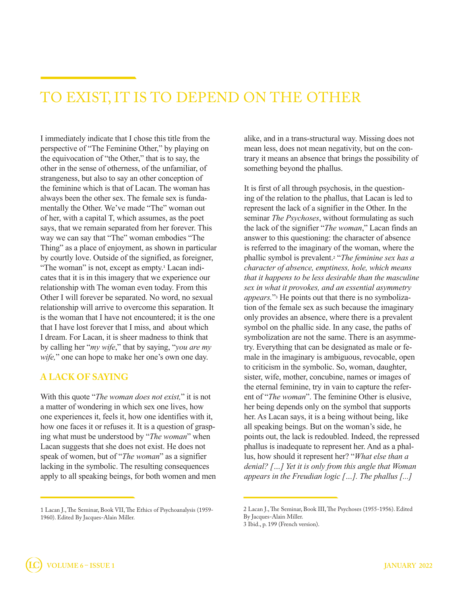## TO EXIST, IT IS TO DEPEND ON THE OTHER

I immediately indicate that I chose this title from the perspective of "The Feminine Other," by playing on the equivocation of "the Other," that is to say, the other in the sense of otherness, of the unfamiliar, of strangeness, but also to say an other conception of the feminine which is that of Lacan. The woman has always been the other sex. The female sex is fundamentally the Other. We've made "The" woman out of her, with a capital T, which assumes, as the poet says, that we remain separated from her forever. This way we can say that "The" woman embodies "The Thing" as a place of enjoyment, as shown in particular by courtly love. Outside of the signified, as foreigner, "The woman" is not, except as empty.<sup>1</sup> Lacan indicates that it is in this imagery that we experience our relationship with The woman even today. From this Other I will forever be separated. No word, no sexual relationship will arrive to overcome this separation. It is the woman that I have not encountered; it is the one that I have lost forever that I miss, and about which I dream. For Lacan, it is sheer madness to think that by calling her "*my wife*," that by saying, "*you are my wife,*" one can hope to make her one's own one day.

#### **A LACK OF SAYING**

With this quote "*The woman does not exist,*" it is not a matter of wondering in which sex one lives, how one experiences it, feels it, how one identifies with it, how one faces it or refuses it. It is a question of grasping what must be understood by "*The woman*" when Lacan suggests that she does not exist. He does not speak of women, but of "*The woman*" as a signifier lacking in the symbolic. The resulting consequences apply to all speaking beings, for both women and men alike, and in a trans-structural way. Missing does not mean less, does not mean negativity, but on the contrary it means an absence that brings the possibility of something beyond the phallus.

It is first of all through psychosis, in the questioning of the relation to the phallus, that Lacan is led to represent the lack of a signifier in the Other. In the seminar *The Psychoses*, without formulating as such the lack of the signifier "*The woman*," Lacan finds an answer to this questioning: the character of absence is referred to the imaginary of the woman, where the phallic symbol is prevalent.2 "*The feminine sex has a character of absence, emptiness, hole, which means that it happens to be less desirable than the masculine sex in what it provokes, and an essential asymmetry appears.*"3 He points out that there is no symbolization of the female sex as such because the imaginary only provides an absence, where there is a prevalent symbol on the phallic side. In any case, the paths of symbolization are not the same. There is an asymmetry. Everything that can be designated as male or female in the imaginary is ambiguous, revocable, open to criticism in the symbolic. So, woman, daughter, sister, wife, mother, concubine, names or images of the eternal feminine, try in vain to capture the referent of "*The woman*". The feminine Other is elusive, her being depends only on the symbol that supports her. As Lacan says, it is a being without being, like all speaking beings. But on the woman's side, he points out, the lack is redoubled. Indeed, the repressed phallus is inadequate to represent her. And as a phallus, how should it represent her? "*What else than a denial? […] Yet it is only from this angle that Woman appears in the Freudian logic […]. The phallus [...]* 

<sup>1</sup> Lacan J., The Seminar, Book VII, The Ethics of Psychoanalysis (1959- 1960). Edited By Jacques-Alain Miller.

<sup>2</sup> Lacan J., The Seminar, Book III, The Psychoses (1955-1956). Edited By Jacques-Alain Miller.

<sup>3</sup> Ibid., p. 199 (French version).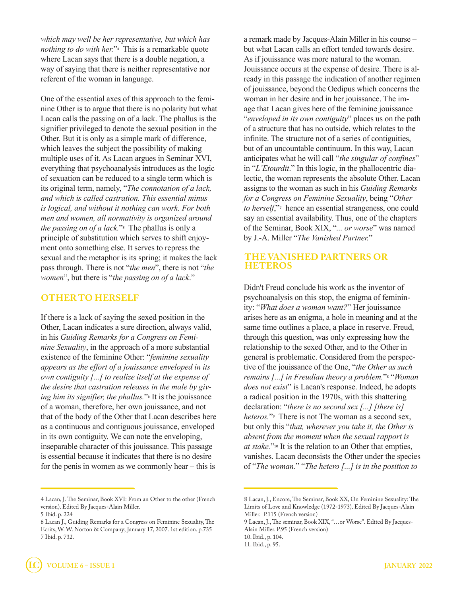*which may well be her representative, but which has nothing to do with her.*"<sup>4</sup> This is a remarkable quote where Lacan says that there is a double negation, a way of saying that there is neither representative nor referent of the woman in language.

One of the essential axes of this approach to the feminine Other is to argue that there is no polarity but what Lacan calls the passing on of a lack. The phallus is the signifier privileged to denote the sexual position in the Other. But it is only as a simple mark of difference, which leaves the subject the possibility of making multiple uses of it. As Lacan argues in Seminar XVI, everything that psychoanalysis introduces as the logic of sexuation can be reduced to a single term which is its original term, namely, "*The connotation of a lack, and which is called castration. This essential minus is logical, and without it nothing can work. For both men and women, all normativity is organized around the passing on of a lack.*"5 The phallus is only a principle of substitution which serves to shift enjoyment onto something else. It serves to repress the sexual and the metaphor is its spring; it makes the lack pass through. There is not "*the men*", there is not "*the women*", but there is "*the passing on of a lack*."

#### **OTHER TO HERSELF**

If there is a lack of saying the sexed position in the Other, Lacan indicates a sure direction, always valid, in his *Guiding Remarks for a Congress on Feminine Sexuality*, in the approach of a more substantial existence of the feminine Other: "*feminine sexuality appears as the effort of a jouissance enveloped in its own contiguity [...] to realize itself at the expense of the desire that castration releases in the male by giving him its signifier, the phallus.*"6 It is the jouissance of a woman, therefore, her own jouissance, and not that of the body of the Other that Lacan describes here as a continuous and contiguous jouissance, enveloped in its own contiguity. We can note the enveloping, inseparable character of this jouissance. This passage is essential because it indicates that there is no desire for the penis in women as we commonly hear – this is

a remark made by Jacques-Alain Miller in his course – but what Lacan calls an effort tended towards desire. As if jouissance was more natural to the woman. Jouissance occurs at the expense of desire. There is already in this passage the indication of another regimen of jouissance, beyond the Oedipus which concerns the woman in her desire and in her jouissance. The image that Lacan gives here of the feminine jouissance "*enveloped in its own contiguity*" places us on the path of a structure that has no outside, which relates to the infinite. The structure not of a series of contiguities, but of an uncountable continuum. In this way, Lacan anticipates what he will call "*the singular of confines*" in "*L'Etourdit*." In this logic, in the phallocentric dialectic, the woman represents the absolute Other. Lacan assigns to the woman as such in his *Guiding Remarks for a Congress on Feminine Sexuality*, being "*Other to herself*,"<sup>7</sup> hence an essential strangeness, one could say an essential availability. Thus, one of the chapters of the Seminar, Book XIX, "*... or worse*" was named by J.-A. Miller "*The Vanished Partner.*"

#### **THE VANISHED PARTNERS OR HETEROS**

Didn't Freud conclude his work as the inventor of psychoanalysis on this stop, the enigma of femininity: "*What does a woman want?*" Her jouissance arises here as an enigma, a hole in meaning and at the same time outlines a place, a place in reserve. Freud, through this question, was only expressing how the relationship to the sexed Other, and to the Other in general is problematic. Considered from the perspective of the jouissance of the One, "*the Other as such remains [...] in Freudian theory a problem.*"8 "*Woman does not exist*" is Lacan's response. Indeed, he adopts a radical position in the 1970s, with this shattering declaration: "*there is no second sex [...] [there is] heteros.*"9 There is not The woman as a second sex, but only this "*that, wherever you take it, the Other is absent from the moment when the sexual rapport is at stake.*"10 It is the relation to an Other that empties, vanishes. Lacan deconsists the Other under the species of "*The woman.*" "*The hetero [...] is in the position to* 

<sup>4</sup> Lacan, J. The Seminar, Book XVI: From an Other to the other (French version). Edited By Jacques-Alain Miller. 5 Ibid. p. 224

<sup>6</sup> Lacan J., Guiding Remarks for a Congress on Feminine Sexuality, The Ecrits, W. W. Norton & Company; January 17, 2007. 1st edition. p.735 7 Ibid. p. 732.

<sup>8</sup> Lacan, J., Encore, The Seminar, Book XX, On Feminine Sexuality: The Limits of Love and Knowledge (1972-1973). Edited By Jacques-Alain Miller. P.115 (French version)

<sup>9</sup> Lacan, J., The seminar, Book XIX, "…or Worse". Edited By Jacques-Alain Miller. P.95 (French version)

<sup>10.</sup> Ibid., p. 104.

<sup>11.</sup> Ibid., p. 95.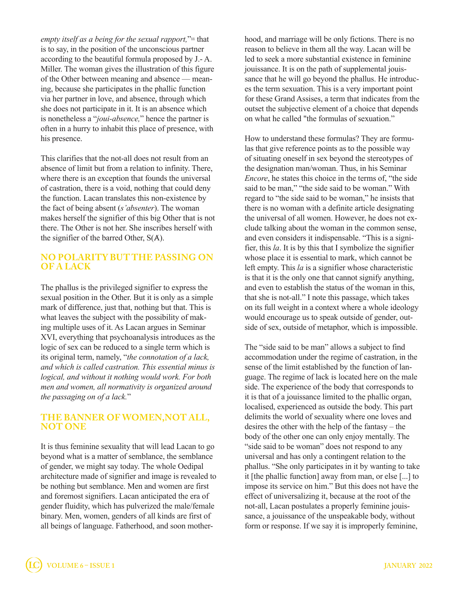*empty itself as a being for the sexual rapport*,"<sup>11</sup> that is to say, in the position of the unconscious partner according to the beautiful formula proposed by J.- A. Miller. The woman gives the illustration of this figure of the Other between meaning and absence — meaning, because she participates in the phallic function via her partner in love, and absence, through which she does not participate in it. It is an absence which is nonetheless a "*joui-absence,*" hence the partner is often in a hurry to inhabit this place of presence, with his presence.

This clarifies that the not-all does not result from an absence of limit but from a relation to infinity. There, where there is an exception that founds the universal of castration, there is a void, nothing that could deny the function. Lacan translates this non-existence by the fact of being absent (*s'absenter*). The woman makes herself the signifier of this big Other that is not there. The Other is not her. She inscribes herself with the signifier of the barred Other,  $S(A)$ .

#### **NO POLARITY BUT THE PASSING ON OF A LACK**

The phallus is the privileged signifier to express the sexual position in the Other. But it is only as a simple mark of difference, just that, nothing but that. This is what leaves the subject with the possibility of making multiple uses of it. As Lacan argues in Seminar XVI, everything that psychoanalysis introduces as the logic of sex can be reduced to a single term which is its original term, namely, "*the connotation of a lack, and which is called castration. This essential minus is logical, and without it nothing would work. For both men and women, all normativity is organized around the passaging on of a lack.*"

#### **THE BANNER OF WOMEN,NOT ALL, NOT ONE**

It is thus feminine sexuality that will lead Lacan to go beyond what is a matter of semblance, the semblance of gender, we might say today. The whole Oedipal architecture made of signifier and image is revealed to be nothing but semblance. Men and women are first and foremost signifiers. Lacan anticipated the era of gender fluidity, which has pulverized the male/female binary. Men, women, genders of all kinds are first of all beings of language. Fatherhood, and soon motherhood, and marriage will be only fictions. There is no reason to believe in them all the way. Lacan will be led to seek a more substantial existence in feminine jouissance. It is on the path of supplemental jouissance that he will go beyond the phallus. He introduces the term sexuation. This is a very important point for these Grand Assises, a term that indicates from the outset the subjective element of a choice that depends on what he called "the formulas of sexuation."

How to understand these formulas? They are formulas that give reference points as to the possible way of situating oneself in sex beyond the stereotypes of the designation man/woman. Thus, in his Seminar *Encore*, he states this choice in the terms of, "the side said to be man," "the side said to be woman." With regard to "the side said to be woman," he insists that there is no woman with a definite article designating the universal of all women. However, he does not exclude talking about the woman in the common sense, and even considers it indispensable. "This is a signifier, this *la*. It is by this that I symbolize the signifier whose place it is essential to mark, which cannot be left empty. This *la* is a signifier whose characteristic is that it is the only one that cannot signify anything, and even to establish the status of the woman in this, that she is not-all." I note this passage, which takes on its full weight in a context where a whole ideology would encourage us to speak outside of gender, outside of sex, outside of metaphor, which is impossible.

The "side said to be man" allows a subject to find accommodation under the regime of castration, in the sense of the limit established by the function of language. The regime of lack is located here on the male side. The experience of the body that corresponds to it is that of a jouissance limited to the phallic organ, localised, experienced as outside the body. This part delimits the world of sexuality where one loves and desires the other with the help of the fantasy – the body of the other one can only enjoy mentally. The "side said to be woman" does not respond to any universal and has only a contingent relation to the phallus. "She only participates in it by wanting to take it [the phallic function] away from man, or else [...] to impose its service on him." But this does not have the effect of universalizing it, because at the root of the not-all, Lacan postulates a properly feminine jouissance, a jouissance of the unspeakable body, without form or response. If we say it is improperly feminine,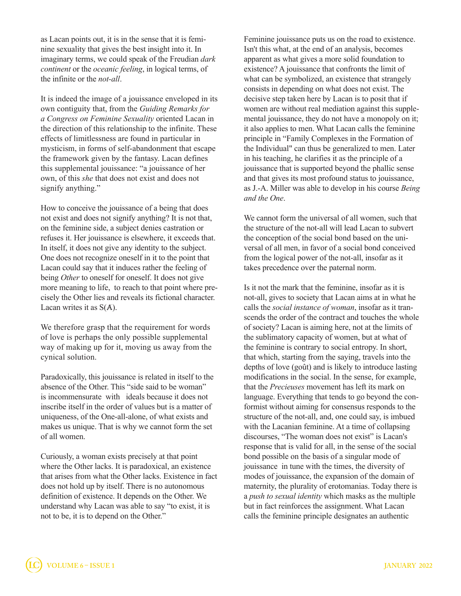as Lacan points out, it is in the sense that it is feminine sexuality that gives the best insight into it. In imaginary terms, we could speak of the Freudian *dark continent* or the *oceanic feeling*, in logical terms, of the infinite or the *not-all*.

It is indeed the image of a jouissance enveloped in its own contiguity that, from the *Guiding Remarks for a Congress on Feminine Sexuality* oriented Lacan in the direction of this relationship to the infinite. These effects of limitlessness are found in particular in mysticism, in forms of self-abandonment that escape the framework given by the fantasy. Lacan defines this supplemental jouissance: "a jouissance of her own, of this *she* that does not exist and does not signify anything."

How to conceive the jouissance of a being that does not exist and does not signify anything? It is not that, on the feminine side, a subject denies castration or refuses it. Her jouissance is elsewhere, it exceeds that. In itself, it does not give any identity to the subject. One does not recognize oneself in it to the point that Lacan could say that it induces rather the feeling of being *Other* to oneself for oneself. It does not give more meaning to life, to reach to that point where precisely the Other lies and reveals its fictional character. Lacan writes it as  $S(A)$ .

We therefore grasp that the requirement for words of love is perhaps the only possible supplemental way of making up for it, moving us away from the cynical solution.

Paradoxically, this jouissance is related in itself to the absence of the Other. This "side said to be woman" is incommensurate with ideals because it does not inscribe itself in the order of values but is a matter of uniqueness, of the One-all-alone, of what exists and makes us unique. That is why we cannot form the set of all women.

Curiously, a woman exists precisely at that point where the Other lacks. It is paradoxical, an existence that arises from what the Other lacks. Existence in fact does not hold up by itself. There is no autonomous definition of existence. It depends on the Other. We understand why Lacan was able to say "to exist, it is not to be, it is to depend on the Other."

Feminine jouissance puts us on the road to existence. Isn't this what, at the end of an analysis, becomes apparent as what gives a more solid foundation to existence? A jouissance that confronts the limit of what can be symbolized, an existence that strangely consists in depending on what does not exist. The decisive step taken here by Lacan is to posit that if women are without real mediation against this supplemental jouissance, they do not have a monopoly on it; it also applies to men. What Lacan calls the feminine principle in "Family Complexes in the Formation of the Individual" can thus be generalized to men. Later in his teaching, he clarifies it as the principle of a jouissance that is supported beyond the phallic sense and that gives its most profound status to jouissance, as J.-A. Miller was able to develop in his course *Being and the One*.

We cannot form the universal of all women, such that the structure of the not-all will lead Lacan to subvert the conception of the social bond based on the universal of all men, in favor of a social bond conceived from the logical power of the not-all, insofar as it takes precedence over the paternal norm.

Is it not the mark that the feminine, insofar as it is not-all, gives to society that Lacan aims at in what he calls the *social instance of woman*, insofar as it transcends the order of the contract and touches the whole of society? Lacan is aiming here, not at the limits of the sublimatory capacity of women, but at what of the feminine is contrary to social entropy. In short, that which, starting from the saying, travels into the depths of love (goût) and is likely to introduce lasting modifications in the social. In the sense, for example, that the *Precieuses* movement has left its mark on language. Everything that tends to go beyond the conformist without aiming for consensus responds to the structure of the not-all, and, one could say, is imbued with the Lacanian feminine. At a time of collapsing discourses, "The woman does not exist" is Lacan's response that is valid for all, in the sense of the social bond possible on the basis of a singular mode of jouissance in tune with the times, the diversity of modes of jouissance, the expansion of the domain of maternity, the plurality of erotomanias. Today there is a *push to sexual identity* which masks as the multiple but in fact reinforces the assignment. What Lacan calls the feminine principle designates an authentic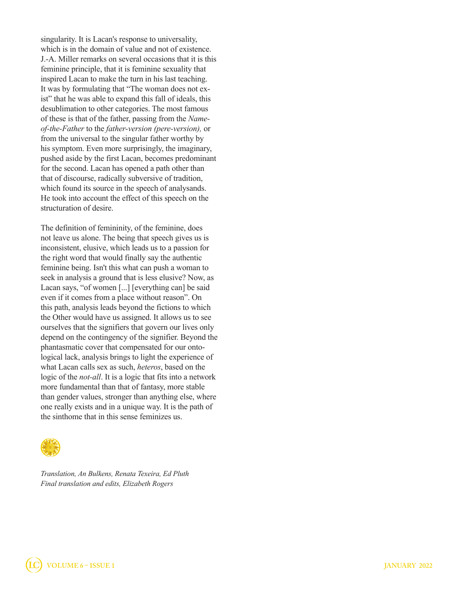singularity. It is Lacan's response to universality, which is in the domain of value and not of existence. J.-A. Miller remarks on several occasions that it is this feminine principle, that it is feminine sexuality that inspired Lacan to make the turn in his last teaching. It was by formulating that "The woman does not exist" that he was able to expand this fall of ideals, this desublimation to other categories. The most famous of these is that of the father, passing from the *Nameof-the-Father* to the *father-version (pere-version),* or from the universal to the singular father worthy by his symptom. Even more surprisingly, the imaginary, pushed aside by the first Lacan, becomes predominant for the second. Lacan has opened a path other than that of discourse, radically subversive of tradition, which found its source in the speech of analysands. He took into account the effect of this speech on the structuration of desire.

The definition of femininity, of the feminine, does not leave us alone. The being that speech gives us is inconsistent, elusive, which leads us to a passion for the right word that would finally say the authentic feminine being. Isn't this what can push a woman to seek in analysis a ground that is less elusive? Now, as Lacan says, "of women [...] [everything can] be said even if it comes from a place without reason". On this path, analysis leads beyond the fictions to which the Other would have us assigned. It allows us to see ourselves that the signifiers that govern our lives only depend on the contingency of the signifier. Beyond the phantasmatic cover that compensated for our ontological lack, analysis brings to light the experience of what Lacan calls sex as such, *heteros*, based on the logic of the *not-all*. It is a logic that fits into a network more fundamental than that of fantasy, more stable than gender values, stronger than anything else, where one really exists and in a unique way. It is the path of the sinthome that in this sense feminizes us.



*Translation, An Bulkens, Renata Texeira, Ed Pluth Final translation and edits, Elizabeth Rogers*